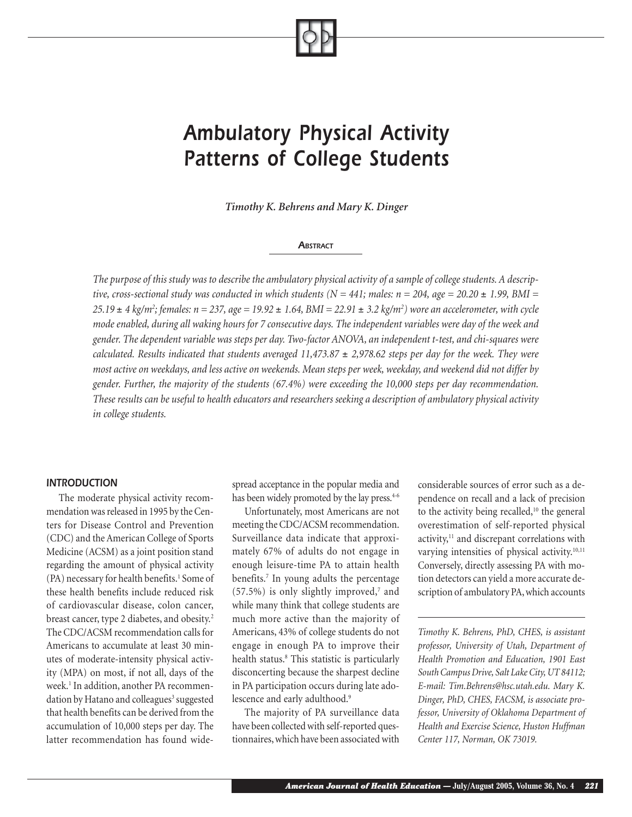# *Ambulatory Physical Activity Patterns of College Students*

*Timothy K. Behrens and Mary K. Dinger*

## *ABSTRACT*

*The purpose of this study was to describe the ambulatory physical activity of a sample of college students. A descriptive, cross-sectional study was conducted in which students (N = 441; males: n = 204, age = 20.20*  $\pm$  *1.99, BMI = 25.19* ± *4 kg/m2 ; females: n = 237, age = 19.92* ± *1.64, BMI = 22.91* ± *3.2 kg/m2 ) wore an accelerometer, with cycle mode enabled, during all waking hours for 7 consecutive days. The independent variables were day of the week and gender. The dependent variable was steps per day. Two-factor ANOVA, an independent t-test, and chi-squares were calculated. Results indicated that students averaged 11,473.87* ± *2,978.62 steps per day for the week. They were most active on weekdays, and less active on weekends. Mean steps per week, weekday, and weekend did not differ by gender. Further, the majority of the students (67.4%) were exceeding the 10,000 steps per day recommendation. These results can be useful to health educators and researchers seeking a description of ambulatory physical activity in college students.*

## *INTRODUCTION*

The moderate physical activity recommendation was released in 1995 by the Centers for Disease Control and Prevention (CDC) and the American College of Sports Medicine (ACSM) as a joint position stand regarding the amount of physical activity (PA) necessary for health benefits.<sup>1</sup> Some of these health benefits include reduced risk of cardiovascular disease, colon cancer, breast cancer, type 2 diabetes, and obesity.<sup>2</sup> The CDC/ACSM recommendation calls for Americans to accumulate at least 30 minutes of moderate-intensity physical activity (MPA) on most, if not all, days of the week.1 In addition, another PA recommendation by Hatano and colleagues<sup>3</sup> suggested that health benefits can be derived from the accumulation of 10,000 steps per day. The latter recommendation has found widespread acceptance in the popular media and has been widely promoted by the lay press.<sup>4-6</sup>

Unfortunately, most Americans are not meeting the CDC/ACSM recommendation. Surveillance data indicate that approximately 67% of adults do not engage in enough leisure-time PA to attain health benefits.7 In young adults the percentage  $(57.5%)$  is only slightly improved,<sup>7</sup> and while many think that college students are much more active than the majority of Americans, 43% of college students do not engage in enough PA to improve their health status.8 This statistic is particularly disconcerting because the sharpest decline in PA participation occurs during late adolescence and early adulthood.<sup>9</sup>

The majority of PA surveillance data have been collected with self-reported questionnaires, which have been associated with

considerable sources of error such as a dependence on recall and a lack of precision to the activity being recalled,<sup>10</sup> the general overestimation of self-reported physical activity,<sup>11</sup> and discrepant correlations with varying intensities of physical activity. $10,11$ Conversely, directly assessing PA with motion detectors can yield a more accurate description of ambulatory PA, which accounts

*Timothy K. Behrens, PhD, CHES, is assistant professor, University of Utah, Department of Health Promotion and Education, 1901 East South Campus Drive, Salt Lake City, UT 84112; E-mail: Tim.Behrens@hsc.utah.edu. Mary K. Dinger, PhD, CHES, FACSM, is associate professor, University of Oklahoma Department of Health and Exercise Science, Huston Huffman Center 117, Norman, OK 73019.*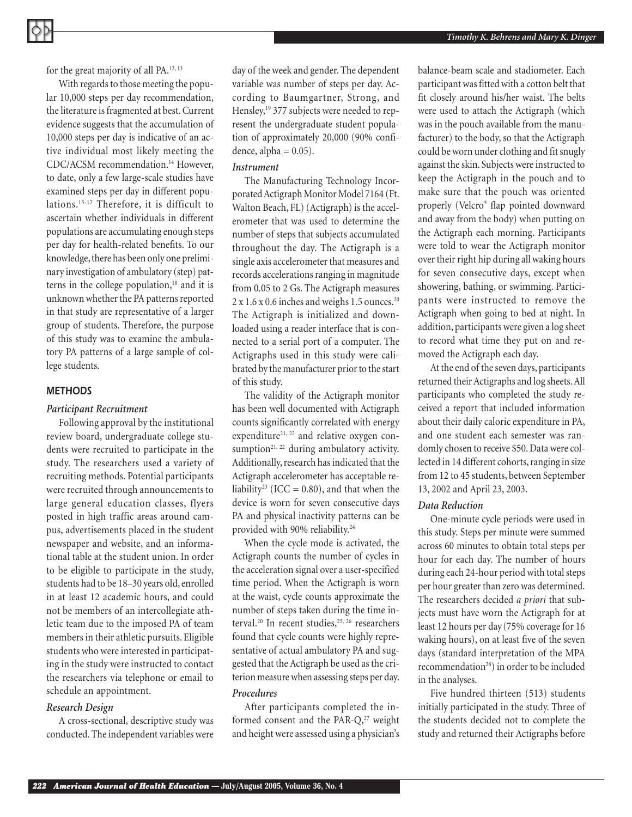for the great majority of all PA.12, 13

With regards to those meeting the popular 10,000 steps per day recommendation, the literature is fragmented at best. Current evidence suggests that the accumulation of 10,000 steps per day is indicative of an active individual most likely meeting the CDC/ACSM recommendation.14 However, to date, only a few large-scale studies have examined steps per day in different populations.15-17 Therefore, it is difficult to ascertain whether individuals in different populations are accumulating enough steps per day for health-related benefits. To our knowledge, there has been only one preliminary investigation of ambulatory (step) patterns in the college population, $18$  and it is unknown whether the PA patterns reported in that study are representative of a larger group of students. Therefore, the purpose of this study was to examine the ambulatory PA patterns of a large sample of college students.

# *METHODS*

## *Participant Recruitment*

Following approval by the institutional review board, undergraduate college students were recruited to participate in the study. The researchers used a variety of recruiting methods. Potential participants were recruited through announcements to large general education classes, flyers posted in high traffic areas around campus, advertisements placed in the student newspaper and website, and an informational table at the student union. In order to be eligible to participate in the study, students had to be 18–30 years old, enrolled in at least 12 academic hours, and could not be members of an intercollegiate athletic team due to the imposed PA of team members in their athletic pursuits. Eligible students who were interested in participating in the study were instructed to contact the researchers via telephone or email to schedule an appointment.

## *Research Design*

A cross-sectional, descriptive study was conducted. The independent variables were day of the week and gender. The dependent variable was number of steps per day. According to Baumgartner, Strong, and Hensley,<sup>19</sup> 377 subjects were needed to represent the undergraduate student population of approximately 20,000 (90% confidence, alpha  $= 0.05$ ).

# *Instrument*

The Manufacturing Technology Incorporated Actigraph Monitor Model 7164 (Ft. Walton Beach, FL) (Actigraph) is the accelerometer that was used to determine the number of steps that subjects accumulated throughout the day. The Actigraph is a single axis accelerometer that measures and records accelerations ranging in magnitude from 0.05 to 2 Gs. The Actigraph measures 2 x 1.6 x 0.6 inches and weighs 1.5 ounces.20 The Actigraph is initialized and downloaded using a reader interface that is connected to a serial port of a computer. The Actigraphs used in this study were calibrated by the manufacturer prior to the start of this study.

The validity of the Actigraph monitor has been well documented with Actigraph counts significantly correlated with energy expenditure<sup>21, 22</sup> and relative oxygen consumption<sup>21, 22</sup> during ambulatory activity. Additionally, research has indicated that the Actigraph accelerometer has acceptable reliability<sup>23</sup> (ICC = 0.80), and that when the device is worn for seven consecutive days PA and physical inactivity patterns can be provided with 90% reliability.<sup>24</sup>

When the cycle mode is activated, the Actigraph counts the number of cycles in the acceleration signal over a user-specified time period. When the Actigraph is worn at the waist, cycle counts approximate the number of steps taken during the time interval.<sup>20</sup> In recent studies,<sup>25, 26</sup> researchers found that cycle counts were highly representative of actual ambulatory PA and suggested that the Actigraph be used as the criterion measure when assessing steps per day.

#### *Procedures*

After participants completed the informed consent and the PAR-Q,<sup>27</sup> weight and height were assessed using a physician's balance-beam scale and stadiometer. Each participant was fitted with a cotton belt that fit closely around his/her waist. The belts were used to attach the Actigraph (which was in the pouch available from the manufacturer) to the body, so that the Actigraph could be worn under clothing and fit snugly against the skin. Subjects were instructed to keep the Actigraph in the pouch and to make sure that the pouch was oriented properly (Velcro® flap pointed downward and away from the body) when putting on the Actigraph each morning. Participants were told to wear the Actigraph monitor over their right hip during all waking hours for seven consecutive days, except when showering, bathing, or swimming. Participants were instructed to remove the Actigraph when going to bed at night. In addition, participants were given a log sheet to record what time they put on and removed the Actigraph each day.

At the end of the seven days, participants returned their Actigraphs and log sheets. All participants who completed the study received a report that included information about their daily caloric expenditure in PA, and one student each semester was randomly chosen to receive \$50. Data were collected in 14 different cohorts, ranging in size from 12 to 45 students, between September 13, 2002 and April 23, 2003.

## *Data Reduction*

One-minute cycle periods were used in this study. Steps per minute were summed across 60 minutes to obtain total steps per hour for each day. The number of hours during each 24-hour period with total steps per hour greater than zero was determined. The researchers decided *a priori* that subjects must have worn the Actigraph for at least 12 hours per day (75% coverage for 16 waking hours), on at least five of the seven days (standard interpretation of the MPA recommendation<sup>28</sup>) in order to be included in the analyses.

Five hundred thirteen (513) students initially participated in the study. Three of the students decided not to complete the study and returned their Actigraphs before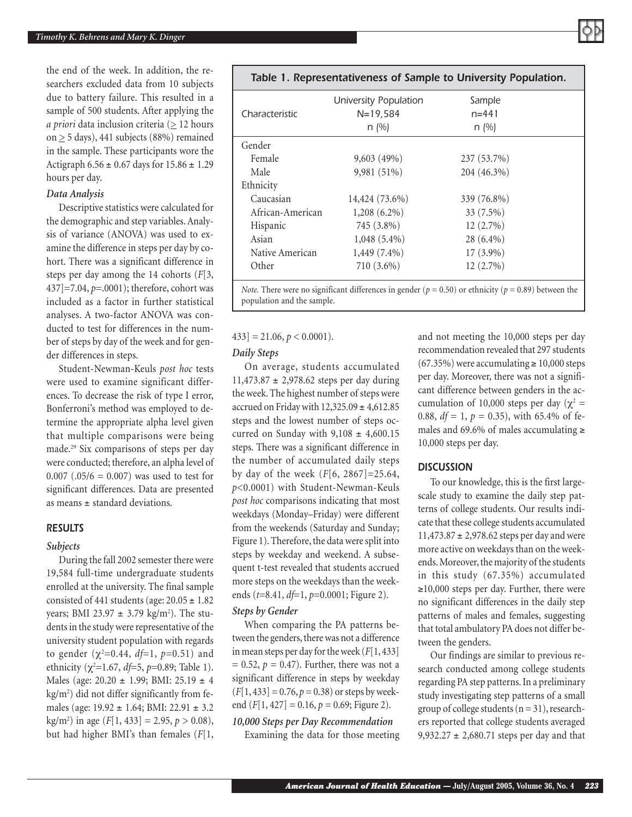the end of the week. In addition, the researchers excluded data from 10 subjects due to battery failure. This resulted in a sample of 500 students. After applying the *a priori* data inclusion criteria ( $\geq$  12 hours on  $\geq$  5 days), 441 subjects (88%) remained in the sample. These participants wore the Actigraph  $6.56 \pm 0.67$  days for  $15.86 \pm 1.29$ hours per day.

## *Data Analysis*

Descriptive statistics were calculated for the demographic and step variables. Analysis of variance (ANOVA) was used to examine the difference in steps per day by cohort. There was a significant difference in steps per day among the 14 cohorts (*F*[3, 437]=7.04, *p*=.0001); therefore, cohort was included as a factor in further statistical analyses. A two-factor ANOVA was conducted to test for differences in the number of steps by day of the week and for gender differences in steps.

Student-Newman-Keuls *post hoc* tests were used to examine significant differences. To decrease the risk of type I error, Bonferroni's method was employed to determine the appropriate alpha level given that multiple comparisons were being made.29 Six comparisons of steps per day were conducted; therefore, an alpha level of  $0.007$  (.05/6 = 0.007) was used to test for significant differences. Data are presented as means ± standard deviations.

## *RESULTS*

### *Subjects*

During the fall 2002 semester there were 19,584 full-time undergraduate students enrolled at the university. The final sample consisted of 441 students (age:  $20.05 \pm 1.82$ ) years; BMI 23.97 ± 3.79 kg/m2 ). The students in the study were representative of the university student population with regards to gender (χ<sup>2</sup> =0.44, *df*=1, *p*=0.51) and ethnicity (χ<sup>2</sup>=1.67, *df*=5, *p*=0.89; Table 1). Males (age: 20.20 ± 1.99; BMI: 25.19 ± 4 kg/m2 ) did not differ significantly from females (age: 19.92 ± 1.64; BMI: 22.91 ± 3.2 kg/m2 ) in age (*F*[1, 433] = 2.95, *p* > 0.08), but had higher BMI's than females (*F*[1,

| Characteristic   | University Population<br>$N = 19,584$ | Sample<br>$n = 441$ |  |
|------------------|---------------------------------------|---------------------|--|
|                  | $n \, (%)$                            | $n \, (%)$          |  |
| Gender           |                                       |                     |  |
| Female           | 9,603(49%)                            | 237 (53.7%)         |  |
| Male             | 9,981 (51%)                           | 204 (46.3%)         |  |
| Ethnicity        |                                       |                     |  |
| Caucasian        | 14,424 (73.6%)                        | 339 (76.8%)         |  |
| African-American | $1,208(6.2\%)$                        | 33 (7.5%)           |  |
| Hispanic         | 745 (3.8%)                            | 12(2.7%)            |  |
| Asian            | $1,048(5.4\%)$                        | $28(6.4\%)$         |  |
| Native American  | 1,449 (7.4%)                          | $17(3.9\%)$         |  |
| Other            | 710 (3.6%)                            | $12(2.7\%)$         |  |

*Table 1. Representativeness of Sample to University Population.*

*Note.* There were no significant differences in gender ( $p = 0.50$ ) or ethnicity ( $p = 0.89$ ) between the population and the sample.

#### $433$ ] = 21.06,  $p < 0.0001$ ).

#### *Daily Steps*

On average, students accumulated 11,473.87 ± 2,978.62 steps per day during the week. The highest number of steps were accrued on Friday with  $12,325.09 \pm 4,612.85$ steps and the lowest number of steps occurred on Sunday with  $9,108 \pm 4,600.15$ steps. There was a significant difference in the number of accumulated daily steps by day of the week (*F*[6, 2867]=25.64, *p*<0.0001) with Student-Newman-Keuls *post hoc* comparisons indicating that most weekdays (Monday–Friday) were different from the weekends (Saturday and Sunday; Figure 1). Therefore, the data were split into steps by weekday and weekend. A subsequent t-test revealed that students accrued more steps on the weekdays than the weekends (*t*=8.41, *df*=1, *p*=0.0001; Figure 2).

### *Steps by Gender*

When comparing the PA patterns between the genders, there was not a difference in mean steps per day for the week (*F*[1, 433]  $= 0.52$ ,  $p = 0.47$ ). Further, there was not a significant difference in steps by weekday  $(F[1, 433] = 0.76, p = 0.38)$  or steps by weekend  $(F[1, 427] = 0.16, p = 0.69;$  Figure 2).

## *10,000 Steps per Day Recommendation*

Examining the data for those meeting

and not meeting the 10,000 steps per day recommendation revealed that 297 students  $(67.35\%)$  were accumulating  $\geq 10,000$  steps per day. Moreover, there was not a significant difference between genders in the accumulation of 10,000 steps per day ( $\chi^2$  = 0.88,  $df = 1$ ,  $p = 0.35$ ), with 65.4% of females and 69.6% of males accumulating  $≥$ 10,000 steps per day.

## *DISCUSSION*

To our knowledge, this is the first largescale study to examine the daily step patterns of college students. Our results indicate that these college students accumulated 11,473.87 ± 2,978.62 steps per day and were more active on weekdays than on the weekends. Moreover, the majority of the students in this study (67.35%) accumulated ≥10,000 steps per day. Further, there were no significant differences in the daily step patterns of males and females, suggesting that total ambulatory PA does not differ between the genders.

Our findings are similar to previous research conducted among college students regarding PA step patterns. In a preliminary study investigating step patterns of a small group of college students  $(n = 31)$ , researchers reported that college students averaged 9,932.27  $\pm$  2,680.71 steps per day and that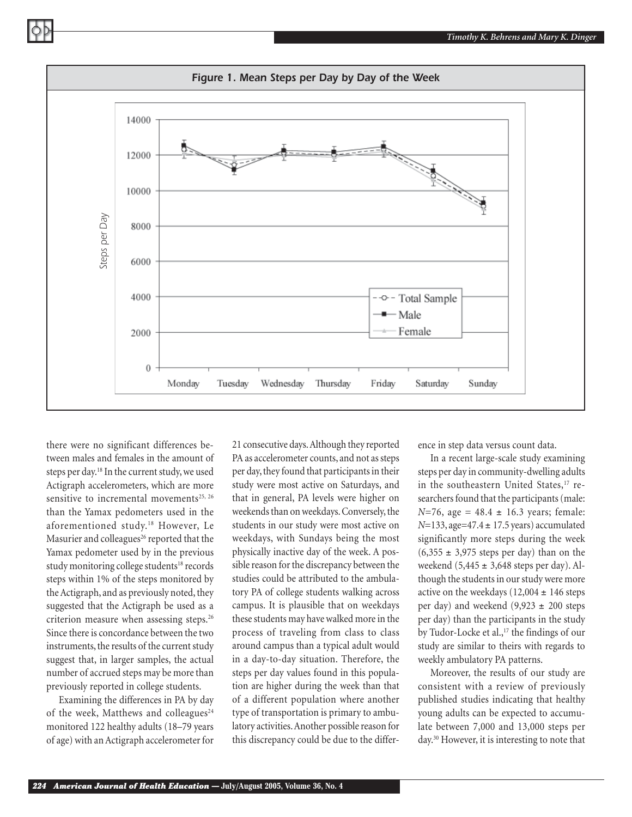*Timothy K. Behrens and Mary K. Dinger*



there were no significant differences between males and females in the amount of steps per day.<sup>18</sup> In the current study, we used Actigraph accelerometers, which are more sensitive to incremental movements<sup>25, 26</sup> than the Yamax pedometers used in the aforementioned study.<sup>18</sup> However, Le Masurier and colleagues<sup>26</sup> reported that the Yamax pedometer used by in the previous study monitoring college students<sup>18</sup> records steps within 1% of the steps monitored by the Actigraph, and as previously noted, they suggested that the Actigraph be used as a criterion measure when assessing steps.26 Since there is concordance between the two instruments, the results of the current study suggest that, in larger samples, the actual number of accrued steps may be more than previously reported in college students.

Examining the differences in PA by day of the week, Matthews and colleagues<sup>24</sup> monitored 122 healthy adults (18–79 years of age) with an Actigraph accelerometer for 21 consecutive days. Although they reported PA as accelerometer counts, and not as steps per day, they found that participants in their study were most active on Saturdays, and that in general, PA levels were higher on weekends than on weekdays. Conversely, the students in our study were most active on weekdays, with Sundays being the most physically inactive day of the week. A possible reason for the discrepancy between the studies could be attributed to the ambulatory PA of college students walking across campus. It is plausible that on weekdays these students may have walked more in the process of traveling from class to class around campus than a typical adult would in a day-to-day situation. Therefore, the steps per day values found in this population are higher during the week than that of a different population where another type of transportation is primary to ambulatory activities. Another possible reason for this discrepancy could be due to the difference in step data versus count data.

In a recent large-scale study examining steps per day in community-dwelling adults in the southeastern United States,<sup>17</sup> researchers found that the participants (male:  $N=76$ , age =  $48.4 \pm 16.3$  years; female: *N*=133, age=47.4 ± 17.5 years) accumulated significantly more steps during the week  $(6,355 \pm 3,975$  steps per day) than on the weekend  $(5,445 \pm 3,648$  steps per day). Although the students in our study were more active on the weekdays (12,004  $\pm$  146 steps per day) and weekend  $(9,923 \pm 200)$  steps per day) than the participants in the study by Tudor-Locke et al.,<sup>17</sup> the findings of our study are similar to theirs with regards to weekly ambulatory PA patterns.

Moreover, the results of our study are consistent with a review of previously published studies indicating that healthy young adults can be expected to accumulate between 7,000 and 13,000 steps per day.30 However, it is interesting to note that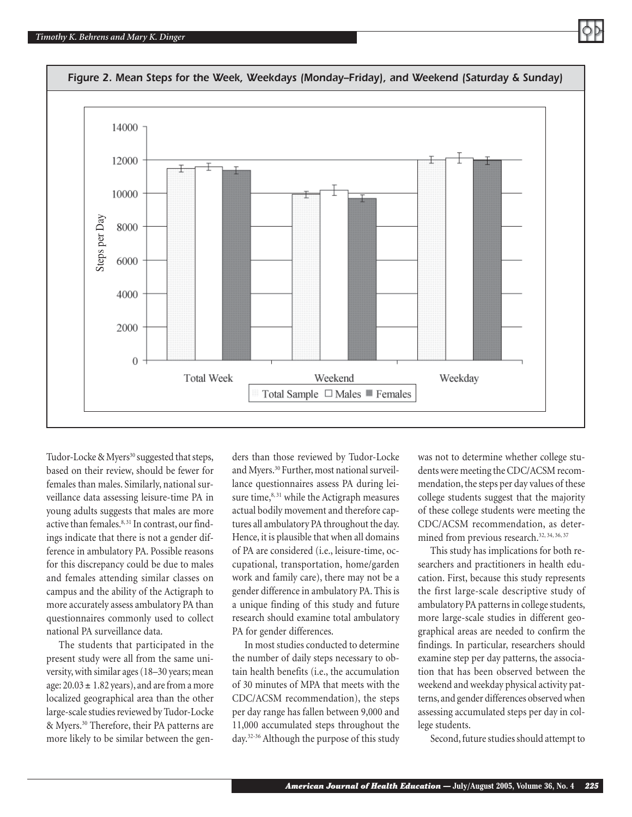

Tudor-Locke & Myers<sup>30</sup> suggested that steps, based on their review, should be fewer for females than males. Similarly, national surveillance data assessing leisure-time PA in young adults suggests that males are more active than females.<sup>8, 31</sup> In contrast, our findings indicate that there is not a gender difference in ambulatory PA. Possible reasons for this discrepancy could be due to males and females attending similar classes on campus and the ability of the Actigraph to more accurately assess ambulatory PA than questionnaires commonly used to collect national PA surveillance data.

The students that participated in the present study were all from the same university, with similar ages (18–30 years; mean age:  $20.03 \pm 1.82$  years), and are from a more localized geographical area than the other large-scale studies reviewed by Tudor-Locke & Myers.<sup>30</sup> Therefore, their PA patterns are more likely to be similar between the genders than those reviewed by Tudor-Locke and Myers.<sup>30</sup> Further, most national surveillance questionnaires assess PA during leisure time,<sup>8, 31</sup> while the Actigraph measures actual bodily movement and therefore captures all ambulatory PA throughout the day. Hence, it is plausible that when all domains of PA are considered (i.e., leisure-time, occupational, transportation, home/garden work and family care), there may not be a gender difference in ambulatory PA. This is a unique finding of this study and future research should examine total ambulatory PA for gender differences.

In most studies conducted to determine the number of daily steps necessary to obtain health benefits (i.e., the accumulation of 30 minutes of MPA that meets with the CDC/ACSM recommendation), the steps per day range has fallen between 9,000 and 11,000 accumulated steps throughout the day.32-36 Although the purpose of this study

was not to determine whether college students were meeting the CDC/ACSM recommendation, the steps per day values of these college students suggest that the majority of these college students were meeting the CDC/ACSM recommendation, as determined from previous research.<sup>32, 34, 36, 37</sup>

This study has implications for both researchers and practitioners in health education. First, because this study represents the first large-scale descriptive study of ambulatory PA patterns in college students, more large-scale studies in different geographical areas are needed to confirm the findings. In particular, researchers should examine step per day patterns, the association that has been observed between the weekend and weekday physical activity patterns, and gender differences observed when assessing accumulated steps per day in college students.

Second, future studies should attempt to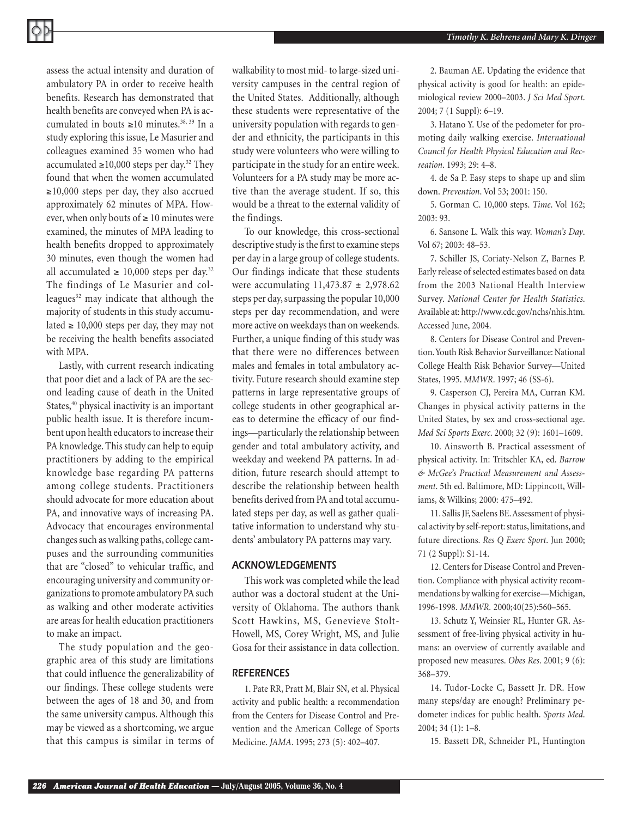assess the actual intensity and duration of ambulatory PA in order to receive health benefits. Research has demonstrated that health benefits are conveyed when PA is accumulated in bouts ≥10 minutes.38, 39 In a study exploring this issue, Le Masurier and colleagues examined 35 women who had accumulated ≥10,000 steps per day.<sup>32</sup> They found that when the women accumulated ≥10,000 steps per day, they also accrued approximately 62 minutes of MPA. However, when only bouts of  $\geq 10$  minutes were examined, the minutes of MPA leading to health benefits dropped to approximately 30 minutes, even though the women had all accumulated ≥ 10,000 steps per day.<sup>32</sup> The findings of Le Masurier and colleagues $32$  may indicate that although the majority of students in this study accumulated ≥ 10,000 steps per day, they may not be receiving the health benefits associated with MPA.

Lastly, with current research indicating that poor diet and a lack of PA are the second leading cause of death in the United States,<sup>40</sup> physical inactivity is an important public health issue. It is therefore incumbent upon health educators to increase their PA knowledge. This study can help to equip practitioners by adding to the empirical knowledge base regarding PA patterns among college students. Practitioners should advocate for more education about PA, and innovative ways of increasing PA. Advocacy that encourages environmental changes such as walking paths, college campuses and the surrounding communities that are "closed" to vehicular traffic, and encouraging university and community organizations to promote ambulatory PA such as walking and other moderate activities are areas for health education practitioners to make an impact.

The study population and the geographic area of this study are limitations that could influence the generalizability of our findings. These college students were between the ages of 18 and 30, and from the same university campus. Although this may be viewed as a shortcoming, we argue that this campus is similar in terms of walkability to most mid- to large-sized university campuses in the central region of the United States. Additionally, although these students were representative of the university population with regards to gender and ethnicity, the participants in this study were volunteers who were willing to participate in the study for an entire week. Volunteers for a PA study may be more active than the average student. If so, this would be a threat to the external validity of the findings.

To our knowledge, this cross-sectional descriptive study is the first to examine steps per day in a large group of college students. Our findings indicate that these students were accumulating  $11,473.87 \pm 2,978.62$ steps per day, surpassing the popular 10,000 steps per day recommendation, and were more active on weekdays than on weekends. Further, a unique finding of this study was that there were no differences between males and females in total ambulatory activity. Future research should examine step patterns in large representative groups of college students in other geographical areas to determine the efficacy of our findings—particularly the relationship between gender and total ambulatory activity, and weekday and weekend PA patterns. In addition, future research should attempt to describe the relationship between health benefits derived from PA and total accumulated steps per day, as well as gather qualitative information to understand why students' ambulatory PA patterns may vary.

#### *ACKNOWLEDGEMENTS*

This work was completed while the lead author was a doctoral student at the University of Oklahoma. The authors thank Scott Hawkins, MS, Genevieve Stolt-Howell, MS, Corey Wright, MS, and Julie Gosa for their assistance in data collection.

### *REFERENCES*

1. Pate RR, Pratt M, Blair SN, et al. Physical activity and public health: a recommendation from the Centers for Disease Control and Prevention and the American College of Sports Medicine. *JAMA*. 1995; 273 (5): 402–407.

2. Bauman AE. Updating the evidence that physical activity is good for health: an epidemiological review 2000–2003. *J Sci Med Sport*. 2004; 7 (1 Suppl): 6–19.

3. Hatano Y. Use of the pedometer for promoting daily walking exercise. *International Council for Health Physical Education and Recreation*. 1993; 29: 4–8.

4. de Sa P. Easy steps to shape up and slim down. *Prevention*. Vol 53; 2001: 150.

5. Gorman C. 10,000 steps. *Time*. Vol 162; 2003: 93.

6. Sansone L. Walk this way. *Woman's Day*. Vol 67; 2003: 48–53.

7. Schiller JS, Coriaty-Nelson Z, Barnes P. Early release of selected estimates based on data from the 2003 National Health Interview Survey. *National Center for Health Statistics*. Available at: http://www.cdc.gov/nchs/nhis.htm. Accessed June, 2004.

8. Centers for Disease Control and Prevention. Youth Risk Behavior Surveillance: National College Health Risk Behavior Survey—United States, 1995. *MMWR*. 1997; 46 (SS-6).

9. Casperson CJ, Pereira MA, Curran KM. Changes in physical activity patterns in the United States, by sex and cross-sectional age. *Med Sci Sports Exerc*. 2000; 32 (9): 1601–1609.

10. Ainsworth B. Practical assessment of physical activity. In: Tritschler KA, ed. *Barrow & McGee's Practical Measurement and Assessment*. 5th ed. Baltimore, MD: Lippincott, Williams, & Wilkins; 2000: 475–492.

11. Sallis JF, Saelens BE. Assessment of physical activity by self-report: status, limitations, and future directions. *Res Q Exerc Sport*. Jun 2000; 71 (2 Suppl): S1-14.

12. Centers for Disease Control and Prevention. Compliance with physical activity recommendations by walking for exercise—Michigan, 1996-1998. *MMWR*. 2000;40(25):560–565.

13. Schutz Y, Weinsier RL, Hunter GR. Assessment of free-living physical activity in humans: an overview of currently available and proposed new measures. *Obes Res*. 2001; 9 (6): 368–379.

14. Tudor-Locke C, Bassett Jr. DR. How many steps/day are enough? Preliminary pedometer indices for public health. *Sports Med*. 2004; 34 (1): 1–8.

15. Bassett DR, Schneider PL, Huntington